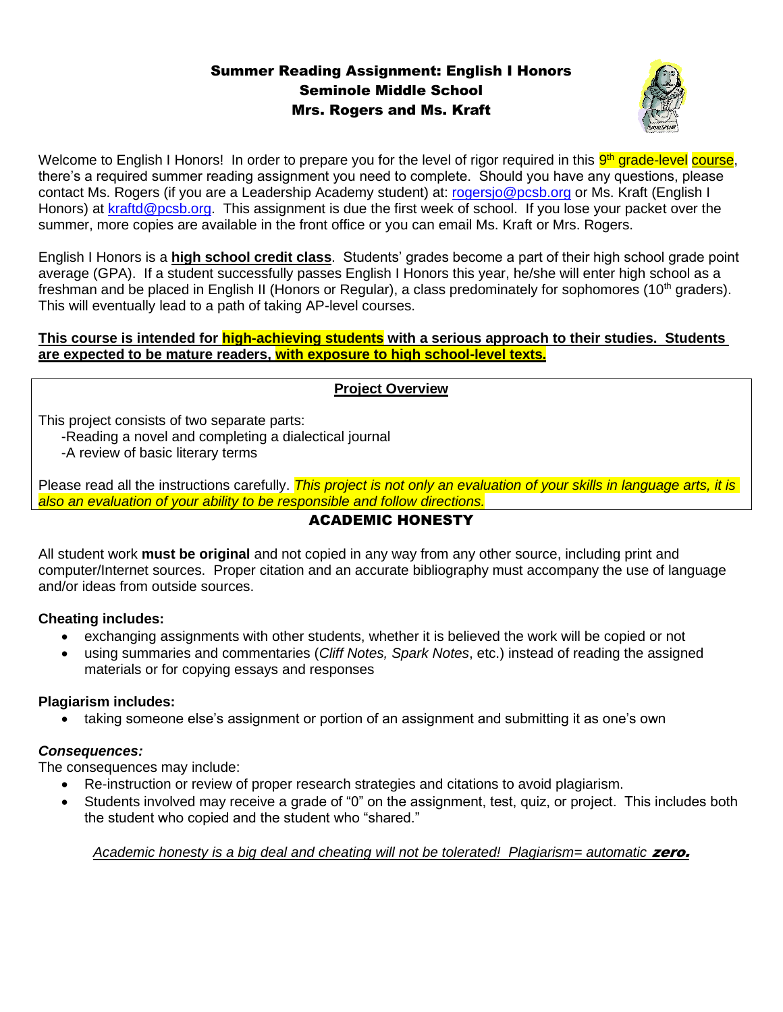## Summer Reading Assignment: English I Honors Seminole Middle School Mrs. Rogers and Ms. Kraft



Welcome to English I Honors! In order to prepare you for the level of rigor required in this <mark>9<sup>th</sup> grade-level</mark> course, there's a required summer reading assignment you need to complete. Should you have any questions, please contact Ms. Rogers (if you are a Leadership Academy student) at: [rogersjo@pcsb.org](mailto:rogersjo@pcsb.org) or Ms. Kraft (English I Honors) at [kraftd@pcsb.org.](mailto:kraftd@pcsb.org) This assignment is due the first week of school. If you lose your packet over the summer, more copies are available in the front office or you can email Ms. Kraft or Mrs. Rogers.

English I Honors is a **high school credit class**. Students' grades become a part of their high school grade point average (GPA). If a student successfully passes English I Honors this year, he/she will enter high school as a freshman and be placed in English II (Honors or Regular), a class predominately for sophomores (10<sup>th</sup> graders). This will eventually lead to a path of taking AP-level courses.

### **This course is intended for high-achieving students with a serious approach to their studies. Students are expected to be mature readers, with exposure to high school-level texts.**

### **Project Overview**

This project consists of two separate parts:

-Reading a novel and completing a dialectical journal

-A review of basic literary terms

Please read all the instructions carefully. *This project is not only an evaluation of your skills in language arts, it is also an evaluation of your ability to be responsible and follow directions.*

### ACADEMIC HONESTY

All student work **must be original** and not copied in any way from any other source, including print and computer/Internet sources. Proper citation and an accurate bibliography must accompany the use of language and/or ideas from outside sources.

### **Cheating includes:**

- exchanging assignments with other students, whether it is believed the work will be copied or not
- using summaries and commentaries (*Cliff Notes, Spark Notes*, etc.) instead of reading the assigned materials or for copying essays and responses

### **Plagiarism includes:**

• taking someone else's assignment or portion of an assignment and submitting it as one's own

### *Consequences:*

The consequences may include:

- Re-instruction or review of proper research strategies and citations to avoid plagiarism.
- Students involved may receive a grade of "0" on the assignment, test, quiz, or project. This includes both the student who copied and the student who "shared."

### *Academic honesty is a big deal and cheating will not be tolerated! Plagiarism= automatic* zero.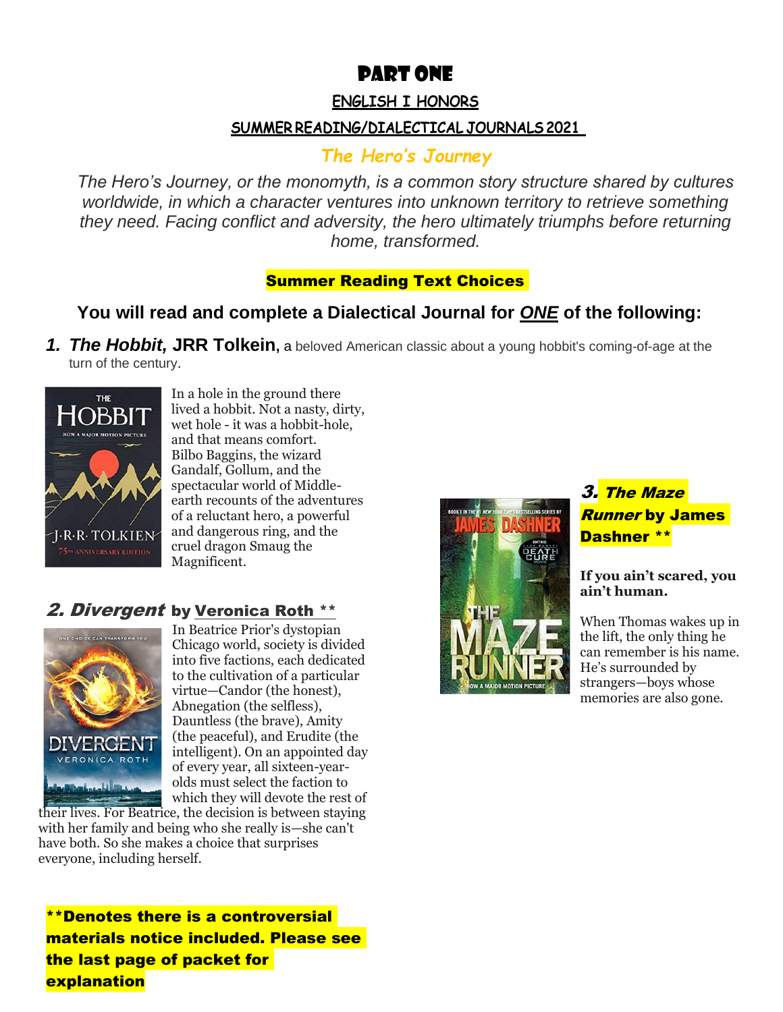# PART one

### **ENGLISH I HONORS**

# **SUMMER READING/DIALECTICAL JOURNALS 2021**

# *The Hero's Journey*

*The Hero's Journey, or the monomyth, is a common story structure shared by cultures worldwide, in which a character ventures into unknown territory to retrieve something they need. Facing conflict and adversity, the hero ultimately triumphs before returning home, transformed.*

# **Summer Reading Text Choices**

# **You will read and complete a Dialectical Journal for** *ONE* **of the following:**

*1. The Hobbit,* **JRR Tolkein,** a beloved American classic about a young hobbit's coming-of-age at the turn of the century.



In a hole in the ground there lived a hobbit. Not a nasty, dirty, wet hole - it was a hobbit-hole, and that means comfort. Bilbo Baggins, the wizard Gandalf, Gollum, and the spectacular world of Middleearth recounts of the adventures of a reluctant hero, a powerful and dangerous ring, and the cruel dragon Smaug the Magnificent.

# 2. Divergent by [Veronica Roth](https://www.goodreads.com/author/show/4039811.Veronica_Roth) \*\*



In Beatrice Prior's dystopian Chicago world, society is divided into five factions, each dedicated to the cultivation of a particular virtue—Candor (the honest), Abnegation (the selfless), Dauntless (the brave), Amity (the peaceful), and Erudite (the intelligent). On an appointed day of every year, all sixteen-yearolds must select the faction to which they will devote the rest of

their lives. For Beatrice, the decision is between staying with her family and being who she really is—she can't have both. So she makes a choice that surprises everyone, including herself.

\*\*Denotes there is a controversial materials notice included. Please see the last page of packet for explanation



# 3. The Maze Runner by James Dashner \*\*

**If you ain't scared, you ain't human.**

When Thomas wakes up in the lift, the only thing he can remember is his name. He's surrounded by strangers—boys whose memories are also gone.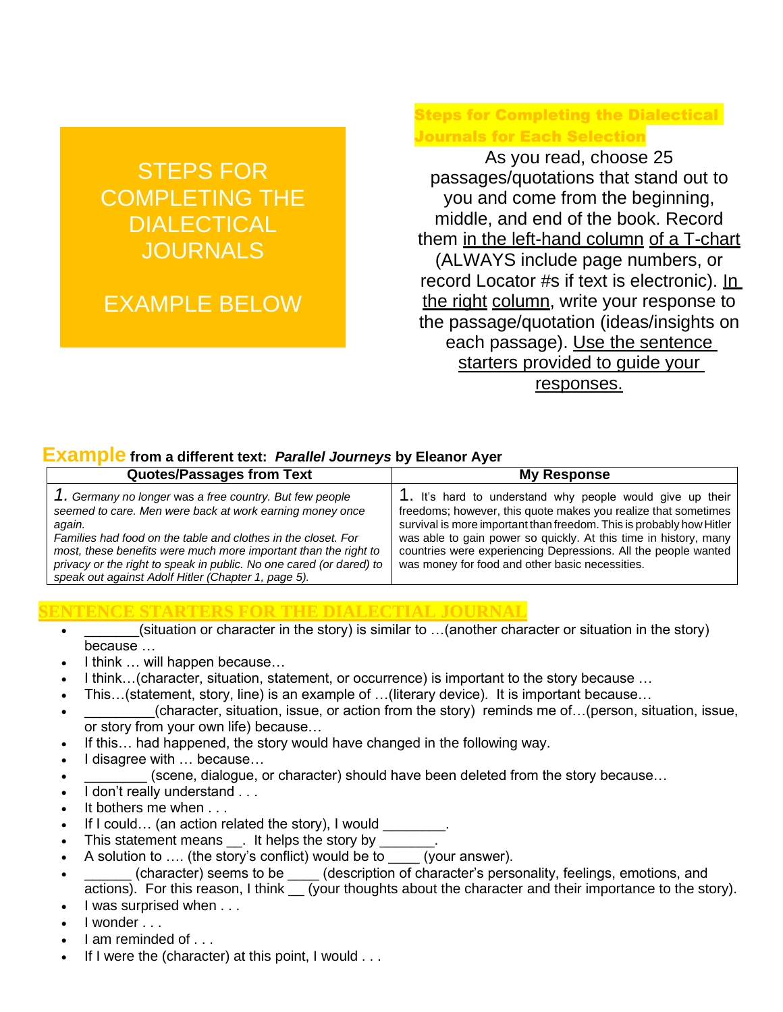# STEPS FOR COMPLETING THE DIALECTICAL **JOURNALS**

# EXAMPLE BELOW

## Steps for Completing the Dialectical Journals for Each Selection

As you read, choose 25 passages/quotations that stand out to you and come from the beginning, middle, and end of the book. Record them in the left-hand column of a T-chart (ALWAYS include page numbers, or record Locator #s if text is electronic). In the right column, write your response to the passage/quotation (ideas/insights on each passage). Use the sentence starters provided to guide your responses.

## **Example from a different text:** *Parallel Journeys* **by Eleanor Ayer**

| <b>Quotes/Passages from Text</b>                                                                                                                                                                                                                                                                                                                                                                | <b>My Response</b>                                                                                                                                                                                                                                                                                                                                                                           |
|-------------------------------------------------------------------------------------------------------------------------------------------------------------------------------------------------------------------------------------------------------------------------------------------------------------------------------------------------------------------------------------------------|----------------------------------------------------------------------------------------------------------------------------------------------------------------------------------------------------------------------------------------------------------------------------------------------------------------------------------------------------------------------------------------------|
| 1. Germany no longer was a free country. But few people<br>seemed to care. Men were back at work earning money once<br>again.<br>Families had food on the table and clothes in the closet. For<br>most, these benefits were much more important than the right to<br>privacy or the right to speak in public. No one cared (or dared) to<br>speak out against Adolf Hitler (Chapter 1, page 5). | 1. It's hard to understand why people would give up their<br>freedoms; however, this quote makes you realize that sometimes<br>survival is more important than freedom. This is probably how Hitler<br>was able to gain power so quickly. At this time in history, many<br>countries were experiencing Depressions. All the people wanted<br>was money for food and other basic necessities. |

#### **SENTENCE STARTERS FOR THE DIALECTIAL JOURNAL**

- $(i$ situation or character in the story) is similar to ... $(i)$  another character or situation in the story) because …
- I think … will happen because…
- I think…(character, situation, statement, or occurrence) is important to the story because …
- This…(statement, story, line) is an example of …(literary device). It is important because…
- (character, situation, issue, or action from the story) reminds me of. . (person, situation, issue, or story from your own life) because…
- If this... had happened, the story would have changed in the following way.
- I disagree with … because…
- (scene, dialogue, or character) should have been deleted from the story because...
- I don't really understand . . .
- It bothers me when . . .
- If I could... (an action related the story), I would
- This statement means \_\_. It helps the story by \_\_\_\_\_\_\_.
- A solution to .... (the story's conflict) would be to \_\_\_\_\_ (your answer).
- (character) seems to be \_\_\_\_\_ (description of character's personality, feelings, emotions, and actions). For this reason, I think (your thoughts about the character and their importance to the story).
- I was surprised when . . .
- I wonder . . .
- I am reminded of . . .
- If I were the (character) at this point, I would . . .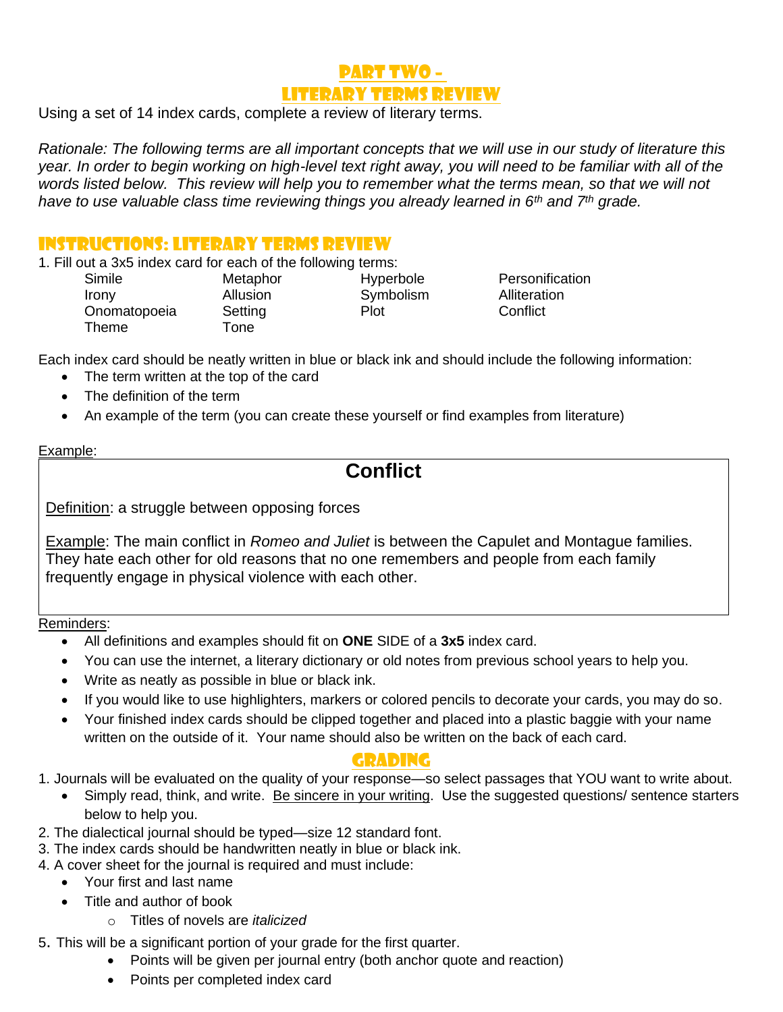# PART TWO – Literary Terms Review

Using a set of 14 index cards, complete a review of literary terms.

*Rationale: The following terms are all important concepts that we will use in our study of literature this year. In order to begin working on high-level text right away, you will need to be familiar with all of the words listed below. This review will help you to remember what the terms mean, so that we will not have to use valuable class time reviewing things you already learned in 6th and 7th grade.*

## Instructions: literary Terms Review

1. Fill out a 3x5 index card for each of the following terms:

**Irony** Allusion **Symbolism** Alliteration Onomatopoeia Setting Plot Conflict Theme Tone

Simile **Metaphor** Hyperbole Personification

Each index card should be neatly written in blue or black ink and should include the following information:

- The term written at the top of the card
- The definition of the term
- An example of the term (you can create these yourself or find examples from literature)

#### Example:

# **Conflict**

Definition: a struggle between opposing forces

Example: The main conflict in *Romeo and Juliet* is between the Capulet and Montague families. They hate each other for old reasons that no one remembers and people from each family frequently engage in physical violence with each other.

#### Reminders:

- All definitions and examples should fit on **ONE** SIDE of a **3x5** index card.
- You can use the internet, a literary dictionary or old notes from previous school years to help you.
- Write as neatly as possible in blue or black ink.
- If you would like to use highlighters, markers or colored pencils to decorate your cards, you may do so.
- Your finished index cards should be clipped together and placed into a plastic baggie with your name written on the outside of it. Your name should also be written on the back of each card.

## Grading

1. Journals will be evaluated on the quality of your response—so select passages that YOU want to write about.

- Simply read, think, and write. Be sincere in your writing. Use the suggested questions/ sentence starters below to help you.
- 2. The dialectical journal should be typed—size 12 standard font.
- 3. The index cards should be handwritten neatly in blue or black ink.
- 4. A cover sheet for the journal is required and must include:
	- Your first and last name
		- Title and author of book
			- o Titles of novels are *italicized*
- 5. This will be a significant portion of your grade for the first quarter.
	- Points will be given per journal entry (both anchor quote and reaction)
	- Points per completed index card